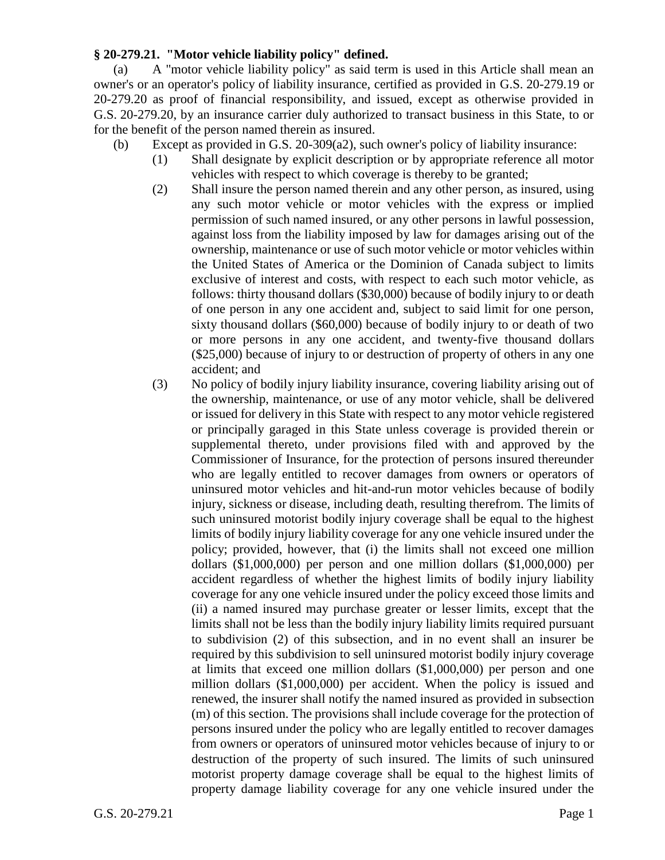## **§ 20-279.21. "Motor vehicle liability policy" defined.**

(a) A "motor vehicle liability policy" as said term is used in this Article shall mean an owner's or an operator's policy of liability insurance, certified as provided in G.S. 20-279.19 or 20-279.20 as proof of financial responsibility, and issued, except as otherwise provided in G.S. 20-279.20, by an insurance carrier duly authorized to transact business in this State, to or for the benefit of the person named therein as insured.

- (b) Except as provided in G.S. 20-309(a2), such owner's policy of liability insurance:
	- (1) Shall designate by explicit description or by appropriate reference all motor vehicles with respect to which coverage is thereby to be granted;
	- (2) Shall insure the person named therein and any other person, as insured, using any such motor vehicle or motor vehicles with the express or implied permission of such named insured, or any other persons in lawful possession, against loss from the liability imposed by law for damages arising out of the ownership, maintenance or use of such motor vehicle or motor vehicles within the United States of America or the Dominion of Canada subject to limits exclusive of interest and costs, with respect to each such motor vehicle, as follows: thirty thousand dollars (\$30,000) because of bodily injury to or death of one person in any one accident and, subject to said limit for one person, sixty thousand dollars (\$60,000) because of bodily injury to or death of two or more persons in any one accident, and twenty-five thousand dollars (\$25,000) because of injury to or destruction of property of others in any one accident; and
	- (3) No policy of bodily injury liability insurance, covering liability arising out of the ownership, maintenance, or use of any motor vehicle, shall be delivered or issued for delivery in this State with respect to any motor vehicle registered or principally garaged in this State unless coverage is provided therein or supplemental thereto, under provisions filed with and approved by the Commissioner of Insurance, for the protection of persons insured thereunder who are legally entitled to recover damages from owners or operators of uninsured motor vehicles and hit-and-run motor vehicles because of bodily injury, sickness or disease, including death, resulting therefrom. The limits of such uninsured motorist bodily injury coverage shall be equal to the highest limits of bodily injury liability coverage for any one vehicle insured under the policy; provided, however, that (i) the limits shall not exceed one million dollars (\$1,000,000) per person and one million dollars (\$1,000,000) per accident regardless of whether the highest limits of bodily injury liability coverage for any one vehicle insured under the policy exceed those limits and (ii) a named insured may purchase greater or lesser limits, except that the limits shall not be less than the bodily injury liability limits required pursuant to subdivision (2) of this subsection, and in no event shall an insurer be required by this subdivision to sell uninsured motorist bodily injury coverage at limits that exceed one million dollars (\$1,000,000) per person and one million dollars (\$1,000,000) per accident. When the policy is issued and renewed, the insurer shall notify the named insured as provided in subsection (m) of this section. The provisions shall include coverage for the protection of persons insured under the policy who are legally entitled to recover damages from owners or operators of uninsured motor vehicles because of injury to or destruction of the property of such insured. The limits of such uninsured motorist property damage coverage shall be equal to the highest limits of property damage liability coverage for any one vehicle insured under the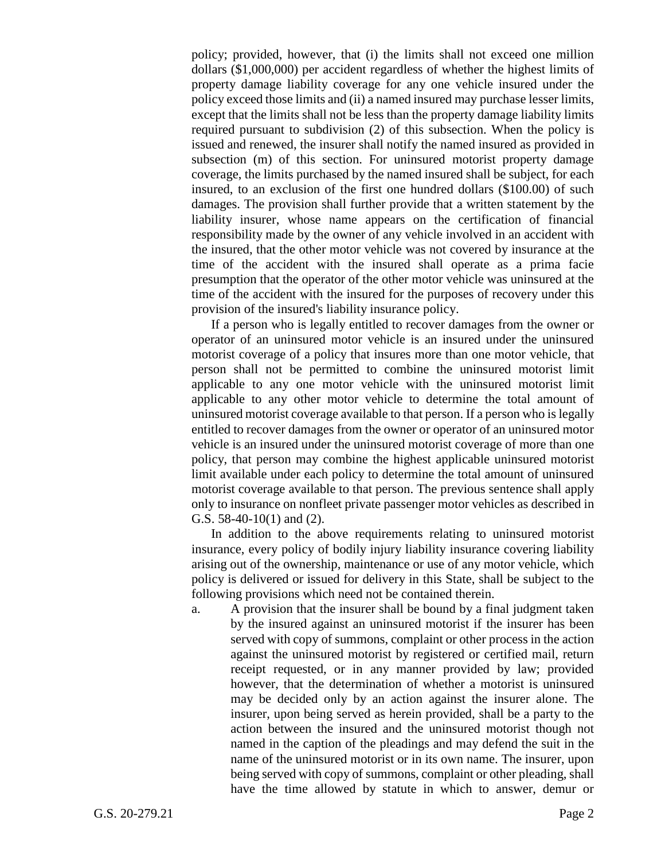policy; provided, however, that (i) the limits shall not exceed one million dollars (\$1,000,000) per accident regardless of whether the highest limits of property damage liability coverage for any one vehicle insured under the policy exceed those limits and (ii) a named insured may purchase lesser limits, except that the limits shall not be less than the property damage liability limits required pursuant to subdivision (2) of this subsection. When the policy is issued and renewed, the insurer shall notify the named insured as provided in subsection (m) of this section. For uninsured motorist property damage coverage, the limits purchased by the named insured shall be subject, for each insured, to an exclusion of the first one hundred dollars (\$100.00) of such damages. The provision shall further provide that a written statement by the liability insurer, whose name appears on the certification of financial responsibility made by the owner of any vehicle involved in an accident with the insured, that the other motor vehicle was not covered by insurance at the time of the accident with the insured shall operate as a prima facie presumption that the operator of the other motor vehicle was uninsured at the time of the accident with the insured for the purposes of recovery under this provision of the insured's liability insurance policy.

If a person who is legally entitled to recover damages from the owner or operator of an uninsured motor vehicle is an insured under the uninsured motorist coverage of a policy that insures more than one motor vehicle, that person shall not be permitted to combine the uninsured motorist limit applicable to any one motor vehicle with the uninsured motorist limit applicable to any other motor vehicle to determine the total amount of uninsured motorist coverage available to that person. If a person who is legally entitled to recover damages from the owner or operator of an uninsured motor vehicle is an insured under the uninsured motorist coverage of more than one policy, that person may combine the highest applicable uninsured motorist limit available under each policy to determine the total amount of uninsured motorist coverage available to that person. The previous sentence shall apply only to insurance on nonfleet private passenger motor vehicles as described in G.S. 58-40-10(1) and (2).

In addition to the above requirements relating to uninsured motorist insurance, every policy of bodily injury liability insurance covering liability arising out of the ownership, maintenance or use of any motor vehicle, which policy is delivered or issued for delivery in this State, shall be subject to the following provisions which need not be contained therein.

a. A provision that the insurer shall be bound by a final judgment taken by the insured against an uninsured motorist if the insurer has been served with copy of summons, complaint or other process in the action against the uninsured motorist by registered or certified mail, return receipt requested, or in any manner provided by law; provided however, that the determination of whether a motorist is uninsured may be decided only by an action against the insurer alone. The insurer, upon being served as herein provided, shall be a party to the action between the insured and the uninsured motorist though not named in the caption of the pleadings and may defend the suit in the name of the uninsured motorist or in its own name. The insurer, upon being served with copy of summons, complaint or other pleading, shall have the time allowed by statute in which to answer, demur or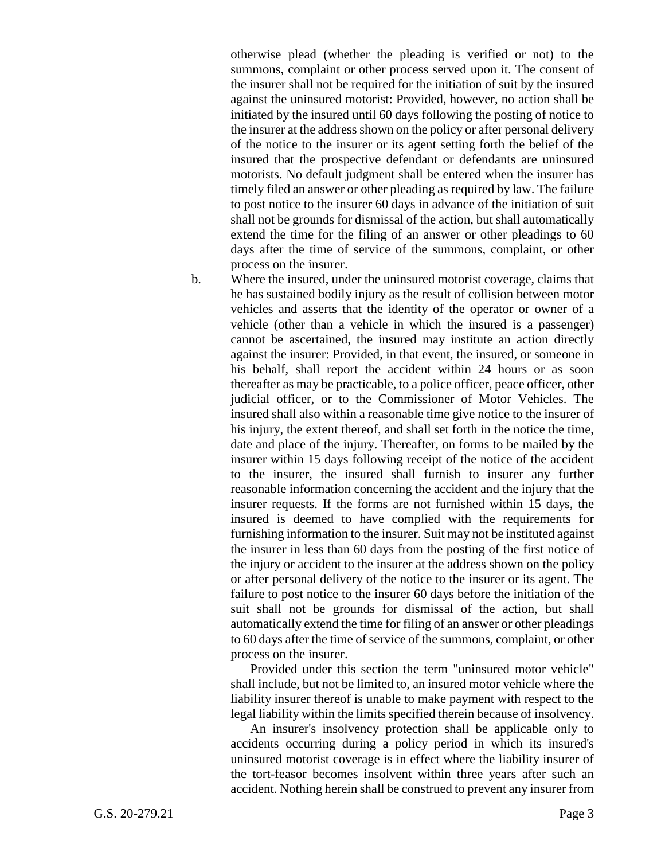otherwise plead (whether the pleading is verified or not) to the summons, complaint or other process served upon it. The consent of the insurer shall not be required for the initiation of suit by the insured against the uninsured motorist: Provided, however, no action shall be initiated by the insured until 60 days following the posting of notice to the insurer at the address shown on the policy or after personal delivery of the notice to the insurer or its agent setting forth the belief of the insured that the prospective defendant or defendants are uninsured motorists. No default judgment shall be entered when the insurer has timely filed an answer or other pleading as required by law. The failure to post notice to the insurer 60 days in advance of the initiation of suit shall not be grounds for dismissal of the action, but shall automatically extend the time for the filing of an answer or other pleadings to 60 days after the time of service of the summons, complaint, or other process on the insurer.

b. Where the insured, under the uninsured motorist coverage, claims that he has sustained bodily injury as the result of collision between motor vehicles and asserts that the identity of the operator or owner of a vehicle (other than a vehicle in which the insured is a passenger) cannot be ascertained, the insured may institute an action directly against the insurer: Provided, in that event, the insured, or someone in his behalf, shall report the accident within 24 hours or as soon thereafter as may be practicable, to a police officer, peace officer, other judicial officer, or to the Commissioner of Motor Vehicles. The insured shall also within a reasonable time give notice to the insurer of his injury, the extent thereof, and shall set forth in the notice the time, date and place of the injury. Thereafter, on forms to be mailed by the insurer within 15 days following receipt of the notice of the accident to the insurer, the insured shall furnish to insurer any further reasonable information concerning the accident and the injury that the insurer requests. If the forms are not furnished within 15 days, the insured is deemed to have complied with the requirements for furnishing information to the insurer. Suit may not be instituted against the insurer in less than 60 days from the posting of the first notice of the injury or accident to the insurer at the address shown on the policy or after personal delivery of the notice to the insurer or its agent. The failure to post notice to the insurer 60 days before the initiation of the suit shall not be grounds for dismissal of the action, but shall automatically extend the time for filing of an answer or other pleadings to 60 days after the time of service of the summons, complaint, or other process on the insurer.

Provided under this section the term "uninsured motor vehicle" shall include, but not be limited to, an insured motor vehicle where the liability insurer thereof is unable to make payment with respect to the legal liability within the limits specified therein because of insolvency.

An insurer's insolvency protection shall be applicable only to accidents occurring during a policy period in which its insured's uninsured motorist coverage is in effect where the liability insurer of the tort-feasor becomes insolvent within three years after such an accident. Nothing herein shall be construed to prevent any insurer from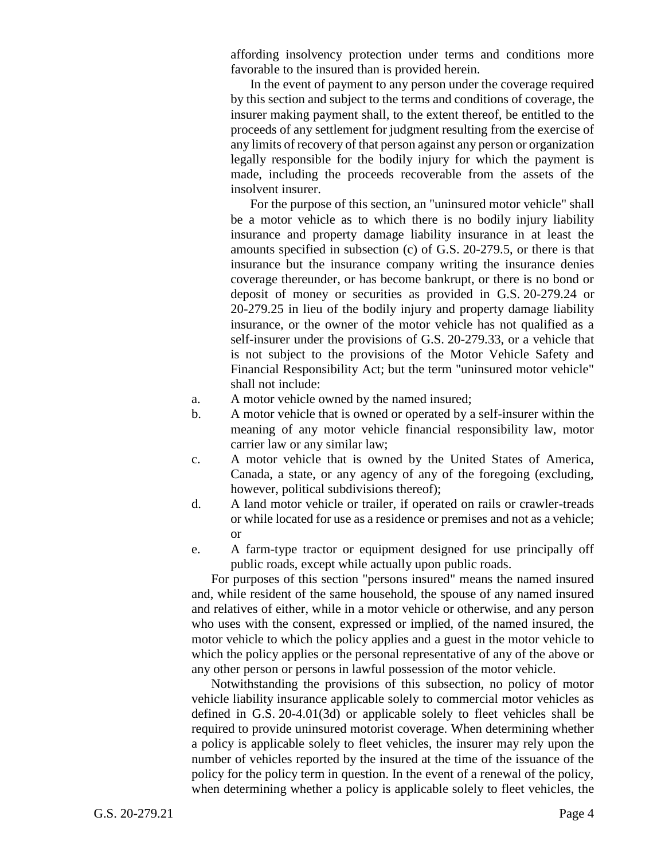affording insolvency protection under terms and conditions more favorable to the insured than is provided herein.

In the event of payment to any person under the coverage required by this section and subject to the terms and conditions of coverage, the insurer making payment shall, to the extent thereof, be entitled to the proceeds of any settlement for judgment resulting from the exercise of any limits of recovery of that person against any person or organization legally responsible for the bodily injury for which the payment is made, including the proceeds recoverable from the assets of the insolvent insurer.

For the purpose of this section, an "uninsured motor vehicle" shall be a motor vehicle as to which there is no bodily injury liability insurance and property damage liability insurance in at least the amounts specified in subsection (c) of G.S. 20-279.5, or there is that insurance but the insurance company writing the insurance denies coverage thereunder, or has become bankrupt, or there is no bond or deposit of money or securities as provided in G.S. 20-279.24 or 20-279.25 in lieu of the bodily injury and property damage liability insurance, or the owner of the motor vehicle has not qualified as a self-insurer under the provisions of G.S. 20-279.33, or a vehicle that is not subject to the provisions of the Motor Vehicle Safety and Financial Responsibility Act; but the term "uninsured motor vehicle" shall not include:

- a. A motor vehicle owned by the named insured;
- b. A motor vehicle that is owned or operated by a self-insurer within the meaning of any motor vehicle financial responsibility law, motor carrier law or any similar law;
- c. A motor vehicle that is owned by the United States of America, Canada, a state, or any agency of any of the foregoing (excluding, however, political subdivisions thereof);
- d. A land motor vehicle or trailer, if operated on rails or crawler-treads or while located for use as a residence or premises and not as a vehicle; or
- e. A farm-type tractor or equipment designed for use principally off public roads, except while actually upon public roads.

For purposes of this section "persons insured" means the named insured and, while resident of the same household, the spouse of any named insured and relatives of either, while in a motor vehicle or otherwise, and any person who uses with the consent, expressed or implied, of the named insured, the motor vehicle to which the policy applies and a guest in the motor vehicle to which the policy applies or the personal representative of any of the above or any other person or persons in lawful possession of the motor vehicle.

Notwithstanding the provisions of this subsection, no policy of motor vehicle liability insurance applicable solely to commercial motor vehicles as defined in G.S. 20-4.01(3d) or applicable solely to fleet vehicles shall be required to provide uninsured motorist coverage. When determining whether a policy is applicable solely to fleet vehicles, the insurer may rely upon the number of vehicles reported by the insured at the time of the issuance of the policy for the policy term in question. In the event of a renewal of the policy, when determining whether a policy is applicable solely to fleet vehicles, the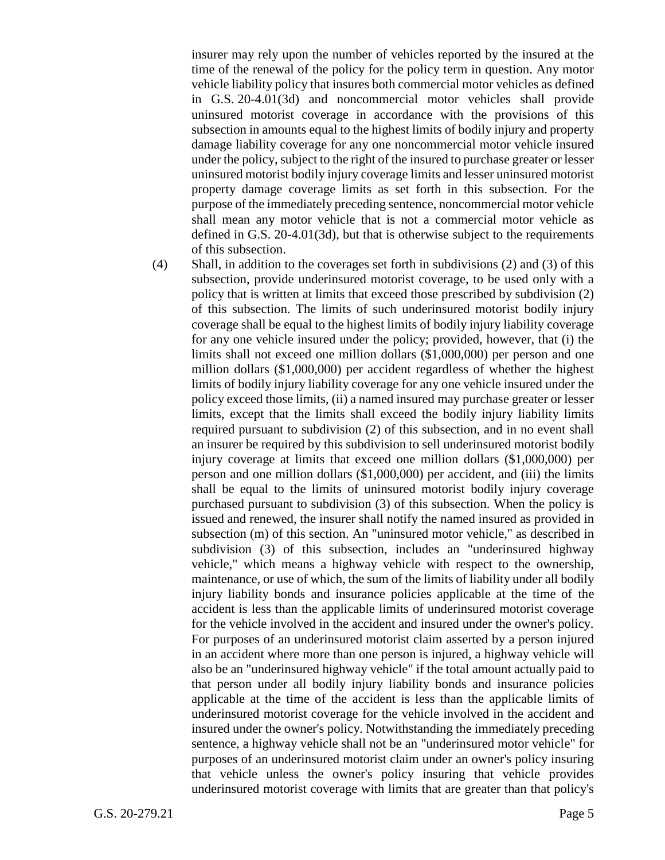insurer may rely upon the number of vehicles reported by the insured at the time of the renewal of the policy for the policy term in question. Any motor vehicle liability policy that insures both commercial motor vehicles as defined in G.S. 20-4.01(3d) and noncommercial motor vehicles shall provide uninsured motorist coverage in accordance with the provisions of this subsection in amounts equal to the highest limits of bodily injury and property damage liability coverage for any one noncommercial motor vehicle insured under the policy, subject to the right of the insured to purchase greater or lesser uninsured motorist bodily injury coverage limits and lesser uninsured motorist property damage coverage limits as set forth in this subsection. For the purpose of the immediately preceding sentence, noncommercial motor vehicle shall mean any motor vehicle that is not a commercial motor vehicle as defined in G.S. 20-4.01(3d), but that is otherwise subject to the requirements of this subsection.

(4) Shall, in addition to the coverages set forth in subdivisions (2) and (3) of this subsection, provide underinsured motorist coverage, to be used only with a policy that is written at limits that exceed those prescribed by subdivision (2) of this subsection. The limits of such underinsured motorist bodily injury coverage shall be equal to the highest limits of bodily injury liability coverage for any one vehicle insured under the policy; provided, however, that (i) the limits shall not exceed one million dollars (\$1,000,000) per person and one million dollars (\$1,000,000) per accident regardless of whether the highest limits of bodily injury liability coverage for any one vehicle insured under the policy exceed those limits, (ii) a named insured may purchase greater or lesser limits, except that the limits shall exceed the bodily injury liability limits required pursuant to subdivision (2) of this subsection, and in no event shall an insurer be required by this subdivision to sell underinsured motorist bodily injury coverage at limits that exceed one million dollars (\$1,000,000) per person and one million dollars (\$1,000,000) per accident, and (iii) the limits shall be equal to the limits of uninsured motorist bodily injury coverage purchased pursuant to subdivision (3) of this subsection. When the policy is issued and renewed, the insurer shall notify the named insured as provided in subsection (m) of this section. An "uninsured motor vehicle," as described in subdivision (3) of this subsection, includes an "underinsured highway vehicle," which means a highway vehicle with respect to the ownership, maintenance, or use of which, the sum of the limits of liability under all bodily injury liability bonds and insurance policies applicable at the time of the accident is less than the applicable limits of underinsured motorist coverage for the vehicle involved in the accident and insured under the owner's policy. For purposes of an underinsured motorist claim asserted by a person injured in an accident where more than one person is injured, a highway vehicle will also be an "underinsured highway vehicle" if the total amount actually paid to that person under all bodily injury liability bonds and insurance policies applicable at the time of the accident is less than the applicable limits of underinsured motorist coverage for the vehicle involved in the accident and insured under the owner's policy. Notwithstanding the immediately preceding sentence, a highway vehicle shall not be an "underinsured motor vehicle" for purposes of an underinsured motorist claim under an owner's policy insuring that vehicle unless the owner's policy insuring that vehicle provides underinsured motorist coverage with limits that are greater than that policy's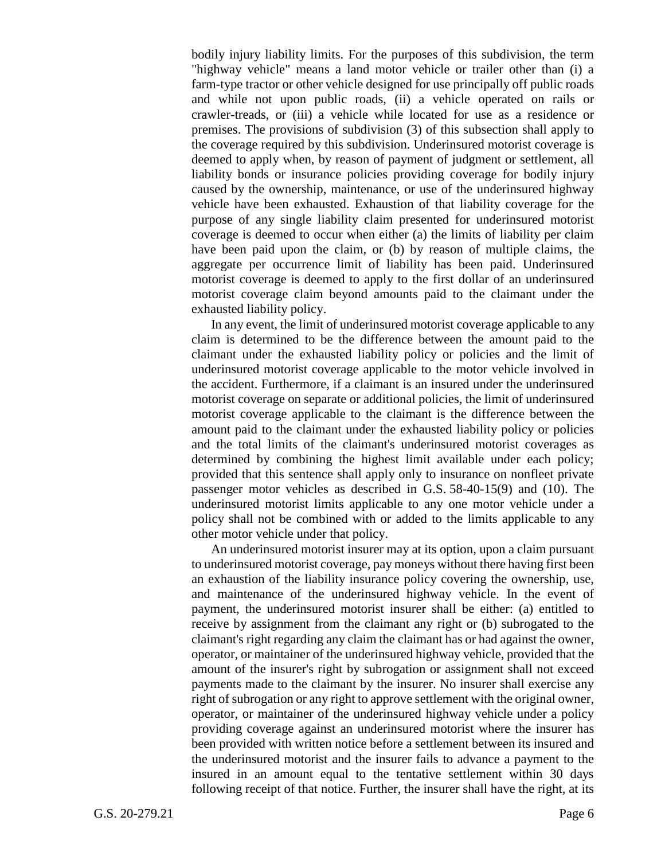bodily injury liability limits. For the purposes of this subdivision, the term "highway vehicle" means a land motor vehicle or trailer other than (i) a farm-type tractor or other vehicle designed for use principally off public roads and while not upon public roads, (ii) a vehicle operated on rails or crawler-treads, or (iii) a vehicle while located for use as a residence or premises. The provisions of subdivision (3) of this subsection shall apply to the coverage required by this subdivision. Underinsured motorist coverage is deemed to apply when, by reason of payment of judgment or settlement, all liability bonds or insurance policies providing coverage for bodily injury caused by the ownership, maintenance, or use of the underinsured highway vehicle have been exhausted. Exhaustion of that liability coverage for the purpose of any single liability claim presented for underinsured motorist coverage is deemed to occur when either (a) the limits of liability per claim have been paid upon the claim, or (b) by reason of multiple claims, the aggregate per occurrence limit of liability has been paid. Underinsured motorist coverage is deemed to apply to the first dollar of an underinsured motorist coverage claim beyond amounts paid to the claimant under the exhausted liability policy.

In any event, the limit of underinsured motorist coverage applicable to any claim is determined to be the difference between the amount paid to the claimant under the exhausted liability policy or policies and the limit of underinsured motorist coverage applicable to the motor vehicle involved in the accident. Furthermore, if a claimant is an insured under the underinsured motorist coverage on separate or additional policies, the limit of underinsured motorist coverage applicable to the claimant is the difference between the amount paid to the claimant under the exhausted liability policy or policies and the total limits of the claimant's underinsured motorist coverages as determined by combining the highest limit available under each policy; provided that this sentence shall apply only to insurance on nonfleet private passenger motor vehicles as described in G.S. 58-40-15(9) and (10). The underinsured motorist limits applicable to any one motor vehicle under a policy shall not be combined with or added to the limits applicable to any other motor vehicle under that policy.

An underinsured motorist insurer may at its option, upon a claim pursuant to underinsured motorist coverage, pay moneys without there having first been an exhaustion of the liability insurance policy covering the ownership, use, and maintenance of the underinsured highway vehicle. In the event of payment, the underinsured motorist insurer shall be either: (a) entitled to receive by assignment from the claimant any right or (b) subrogated to the claimant's right regarding any claim the claimant has or had against the owner, operator, or maintainer of the underinsured highway vehicle, provided that the amount of the insurer's right by subrogation or assignment shall not exceed payments made to the claimant by the insurer. No insurer shall exercise any right of subrogation or any right to approve settlement with the original owner, operator, or maintainer of the underinsured highway vehicle under a policy providing coverage against an underinsured motorist where the insurer has been provided with written notice before a settlement between its insured and the underinsured motorist and the insurer fails to advance a payment to the insured in an amount equal to the tentative settlement within 30 days following receipt of that notice. Further, the insurer shall have the right, at its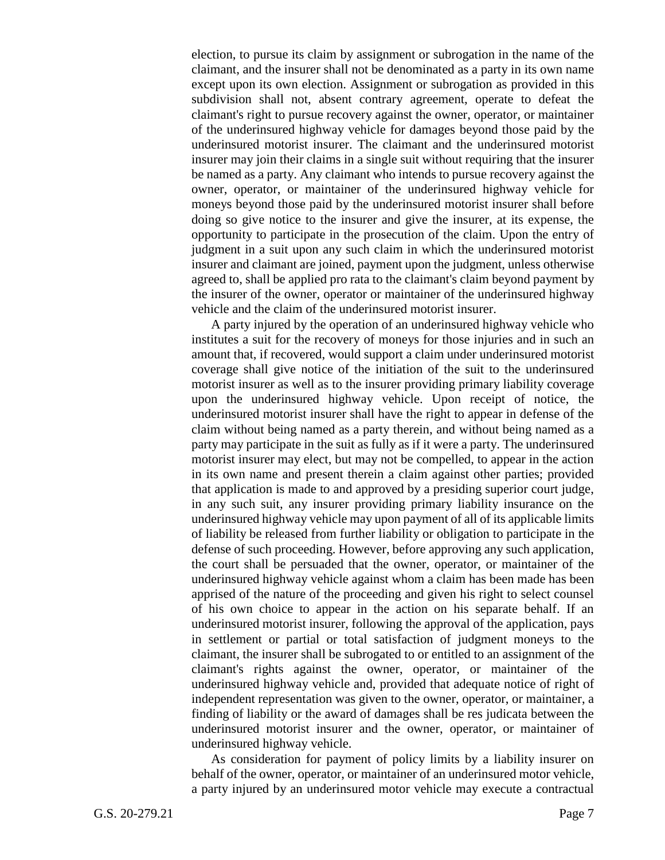election, to pursue its claim by assignment or subrogation in the name of the claimant, and the insurer shall not be denominated as a party in its own name except upon its own election. Assignment or subrogation as provided in this subdivision shall not, absent contrary agreement, operate to defeat the claimant's right to pursue recovery against the owner, operator, or maintainer of the underinsured highway vehicle for damages beyond those paid by the underinsured motorist insurer. The claimant and the underinsured motorist insurer may join their claims in a single suit without requiring that the insurer be named as a party. Any claimant who intends to pursue recovery against the owner, operator, or maintainer of the underinsured highway vehicle for moneys beyond those paid by the underinsured motorist insurer shall before doing so give notice to the insurer and give the insurer, at its expense, the opportunity to participate in the prosecution of the claim. Upon the entry of judgment in a suit upon any such claim in which the underinsured motorist insurer and claimant are joined, payment upon the judgment, unless otherwise agreed to, shall be applied pro rata to the claimant's claim beyond payment by the insurer of the owner, operator or maintainer of the underinsured highway vehicle and the claim of the underinsured motorist insurer.

A party injured by the operation of an underinsured highway vehicle who institutes a suit for the recovery of moneys for those injuries and in such an amount that, if recovered, would support a claim under underinsured motorist coverage shall give notice of the initiation of the suit to the underinsured motorist insurer as well as to the insurer providing primary liability coverage upon the underinsured highway vehicle. Upon receipt of notice, the underinsured motorist insurer shall have the right to appear in defense of the claim without being named as a party therein, and without being named as a party may participate in the suit as fully as if it were a party. The underinsured motorist insurer may elect, but may not be compelled, to appear in the action in its own name and present therein a claim against other parties; provided that application is made to and approved by a presiding superior court judge, in any such suit, any insurer providing primary liability insurance on the underinsured highway vehicle may upon payment of all of its applicable limits of liability be released from further liability or obligation to participate in the defense of such proceeding. However, before approving any such application, the court shall be persuaded that the owner, operator, or maintainer of the underinsured highway vehicle against whom a claim has been made has been apprised of the nature of the proceeding and given his right to select counsel of his own choice to appear in the action on his separate behalf. If an underinsured motorist insurer, following the approval of the application, pays in settlement or partial or total satisfaction of judgment moneys to the claimant, the insurer shall be subrogated to or entitled to an assignment of the claimant's rights against the owner, operator, or maintainer of the underinsured highway vehicle and, provided that adequate notice of right of independent representation was given to the owner, operator, or maintainer, a finding of liability or the award of damages shall be res judicata between the underinsured motorist insurer and the owner, operator, or maintainer of underinsured highway vehicle.

As consideration for payment of policy limits by a liability insurer on behalf of the owner, operator, or maintainer of an underinsured motor vehicle, a party injured by an underinsured motor vehicle may execute a contractual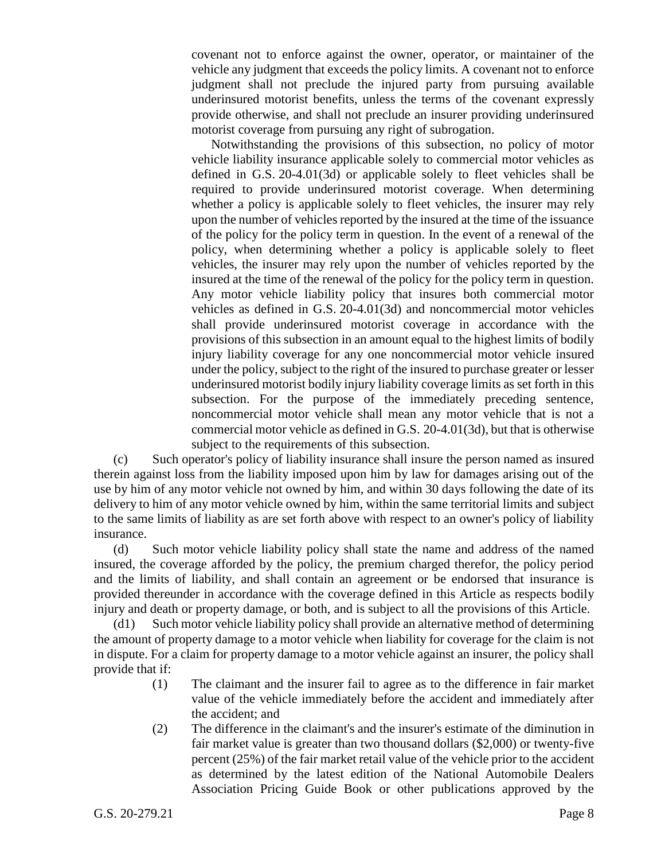covenant not to enforce against the owner, operator, or maintainer of the vehicle any judgment that exceeds the policy limits. A covenant not to enforce judgment shall not preclude the injured party from pursuing available underinsured motorist benefits, unless the terms of the covenant expressly provide otherwise, and shall not preclude an insurer providing underinsured motorist coverage from pursuing any right of subrogation.

Notwithstanding the provisions of this subsection, no policy of motor vehicle liability insurance applicable solely to commercial motor vehicles as defined in G.S. 20-4.01(3d) or applicable solely to fleet vehicles shall be required to provide underinsured motorist coverage. When determining whether a policy is applicable solely to fleet vehicles, the insurer may rely upon the number of vehicles reported by the insured at the time of the issuance of the policy for the policy term in question. In the event of a renewal of the policy, when determining whether a policy is applicable solely to fleet vehicles, the insurer may rely upon the number of vehicles reported by the insured at the time of the renewal of the policy for the policy term in question. Any motor vehicle liability policy that insures both commercial motor vehicles as defined in G.S. 20-4.01(3d) and noncommercial motor vehicles shall provide underinsured motorist coverage in accordance with the provisions of this subsection in an amount equal to the highest limits of bodily injury liability coverage for any one noncommercial motor vehicle insured under the policy, subject to the right of the insured to purchase greater or lesser underinsured motorist bodily injury liability coverage limits as set forth in this subsection. For the purpose of the immediately preceding sentence, noncommercial motor vehicle shall mean any motor vehicle that is not a commercial motor vehicle as defined in G.S. 20-4.01(3d), but that is otherwise subject to the requirements of this subsection.

(c) Such operator's policy of liability insurance shall insure the person named as insured therein against loss from the liability imposed upon him by law for damages arising out of the use by him of any motor vehicle not owned by him, and within 30 days following the date of its delivery to him of any motor vehicle owned by him, within the same territorial limits and subject to the same limits of liability as are set forth above with respect to an owner's policy of liability insurance.

(d) Such motor vehicle liability policy shall state the name and address of the named insured, the coverage afforded by the policy, the premium charged therefor, the policy period and the limits of liability, and shall contain an agreement or be endorsed that insurance is provided thereunder in accordance with the coverage defined in this Article as respects bodily injury and death or property damage, or both, and is subject to all the provisions of this Article.

(d1) Such motor vehicle liability policy shall provide an alternative method of determining the amount of property damage to a motor vehicle when liability for coverage for the claim is not in dispute. For a claim for property damage to a motor vehicle against an insurer, the policy shall provide that if:

- (1) The claimant and the insurer fail to agree as to the difference in fair market value of the vehicle immediately before the accident and immediately after the accident; and
- (2) The difference in the claimant's and the insurer's estimate of the diminution in fair market value is greater than two thousand dollars (\$2,000) or twenty-five percent (25%) of the fair market retail value of the vehicle prior to the accident as determined by the latest edition of the National Automobile Dealers Association Pricing Guide Book or other publications approved by the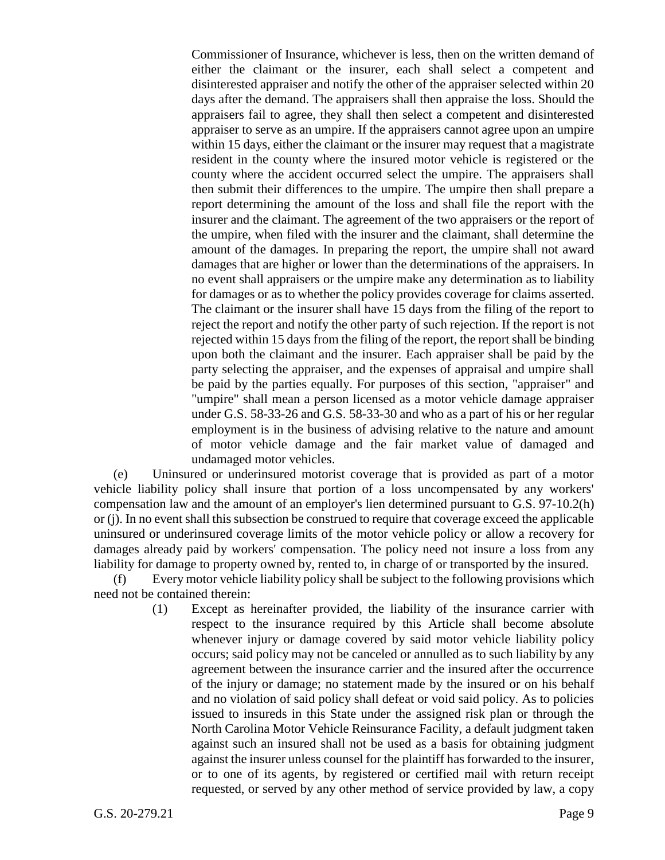Commissioner of Insurance, whichever is less, then on the written demand of either the claimant or the insurer, each shall select a competent and disinterested appraiser and notify the other of the appraiser selected within 20 days after the demand. The appraisers shall then appraise the loss. Should the appraisers fail to agree, they shall then select a competent and disinterested appraiser to serve as an umpire. If the appraisers cannot agree upon an umpire within 15 days, either the claimant or the insurer may request that a magistrate resident in the county where the insured motor vehicle is registered or the county where the accident occurred select the umpire. The appraisers shall then submit their differences to the umpire. The umpire then shall prepare a report determining the amount of the loss and shall file the report with the insurer and the claimant. The agreement of the two appraisers or the report of the umpire, when filed with the insurer and the claimant, shall determine the amount of the damages. In preparing the report, the umpire shall not award damages that are higher or lower than the determinations of the appraisers. In no event shall appraisers or the umpire make any determination as to liability for damages or as to whether the policy provides coverage for claims asserted. The claimant or the insurer shall have 15 days from the filing of the report to reject the report and notify the other party of such rejection. If the report is not rejected within 15 days from the filing of the report, the report shall be binding upon both the claimant and the insurer. Each appraiser shall be paid by the party selecting the appraiser, and the expenses of appraisal and umpire shall be paid by the parties equally. For purposes of this section, "appraiser" and "umpire" shall mean a person licensed as a motor vehicle damage appraiser under G.S. 58-33-26 and G.S. 58-33-30 and who as a part of his or her regular employment is in the business of advising relative to the nature and amount of motor vehicle damage and the fair market value of damaged and undamaged motor vehicles.

(e) Uninsured or underinsured motorist coverage that is provided as part of a motor vehicle liability policy shall insure that portion of a loss uncompensated by any workers' compensation law and the amount of an employer's lien determined pursuant to G.S. 97-10.2(h) or (j). In no event shall this subsection be construed to require that coverage exceed the applicable uninsured or underinsured coverage limits of the motor vehicle policy or allow a recovery for damages already paid by workers' compensation. The policy need not insure a loss from any liability for damage to property owned by, rented to, in charge of or transported by the insured.

(f) Every motor vehicle liability policy shall be subject to the following provisions which need not be contained therein:

> (1) Except as hereinafter provided, the liability of the insurance carrier with respect to the insurance required by this Article shall become absolute whenever injury or damage covered by said motor vehicle liability policy occurs; said policy may not be canceled or annulled as to such liability by any agreement between the insurance carrier and the insured after the occurrence of the injury or damage; no statement made by the insured or on his behalf and no violation of said policy shall defeat or void said policy. As to policies issued to insureds in this State under the assigned risk plan or through the North Carolina Motor Vehicle Reinsurance Facility, a default judgment taken against such an insured shall not be used as a basis for obtaining judgment against the insurer unless counsel for the plaintiff has forwarded to the insurer, or to one of its agents, by registered or certified mail with return receipt requested, or served by any other method of service provided by law, a copy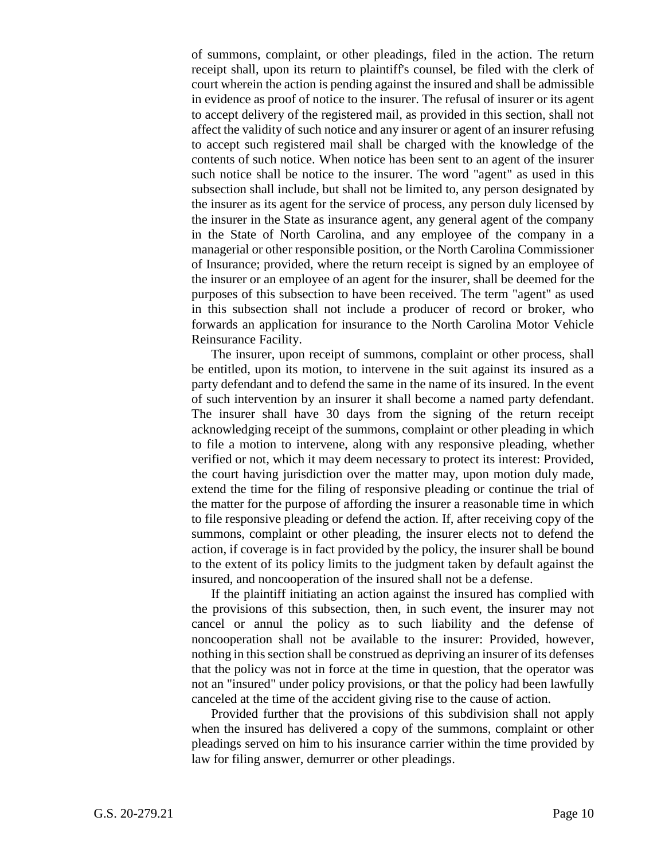of summons, complaint, or other pleadings, filed in the action. The return receipt shall, upon its return to plaintiff's counsel, be filed with the clerk of court wherein the action is pending against the insured and shall be admissible in evidence as proof of notice to the insurer. The refusal of insurer or its agent to accept delivery of the registered mail, as provided in this section, shall not affect the validity of such notice and any insurer or agent of an insurer refusing to accept such registered mail shall be charged with the knowledge of the contents of such notice. When notice has been sent to an agent of the insurer such notice shall be notice to the insurer. The word "agent" as used in this subsection shall include, but shall not be limited to, any person designated by the insurer as its agent for the service of process, any person duly licensed by the insurer in the State as insurance agent, any general agent of the company in the State of North Carolina, and any employee of the company in a managerial or other responsible position, or the North Carolina Commissioner of Insurance; provided, where the return receipt is signed by an employee of the insurer or an employee of an agent for the insurer, shall be deemed for the purposes of this subsection to have been received. The term "agent" as used in this subsection shall not include a producer of record or broker, who forwards an application for insurance to the North Carolina Motor Vehicle Reinsurance Facility.

The insurer, upon receipt of summons, complaint or other process, shall be entitled, upon its motion, to intervene in the suit against its insured as a party defendant and to defend the same in the name of its insured. In the event of such intervention by an insurer it shall become a named party defendant. The insurer shall have 30 days from the signing of the return receipt acknowledging receipt of the summons, complaint or other pleading in which to file a motion to intervene, along with any responsive pleading, whether verified or not, which it may deem necessary to protect its interest: Provided, the court having jurisdiction over the matter may, upon motion duly made, extend the time for the filing of responsive pleading or continue the trial of the matter for the purpose of affording the insurer a reasonable time in which to file responsive pleading or defend the action. If, after receiving copy of the summons, complaint or other pleading, the insurer elects not to defend the action, if coverage is in fact provided by the policy, the insurer shall be bound to the extent of its policy limits to the judgment taken by default against the insured, and noncooperation of the insured shall not be a defense.

If the plaintiff initiating an action against the insured has complied with the provisions of this subsection, then, in such event, the insurer may not cancel or annul the policy as to such liability and the defense of noncooperation shall not be available to the insurer: Provided, however, nothing in this section shall be construed as depriving an insurer of its defenses that the policy was not in force at the time in question, that the operator was not an "insured" under policy provisions, or that the policy had been lawfully canceled at the time of the accident giving rise to the cause of action.

Provided further that the provisions of this subdivision shall not apply when the insured has delivered a copy of the summons, complaint or other pleadings served on him to his insurance carrier within the time provided by law for filing answer, demurrer or other pleadings.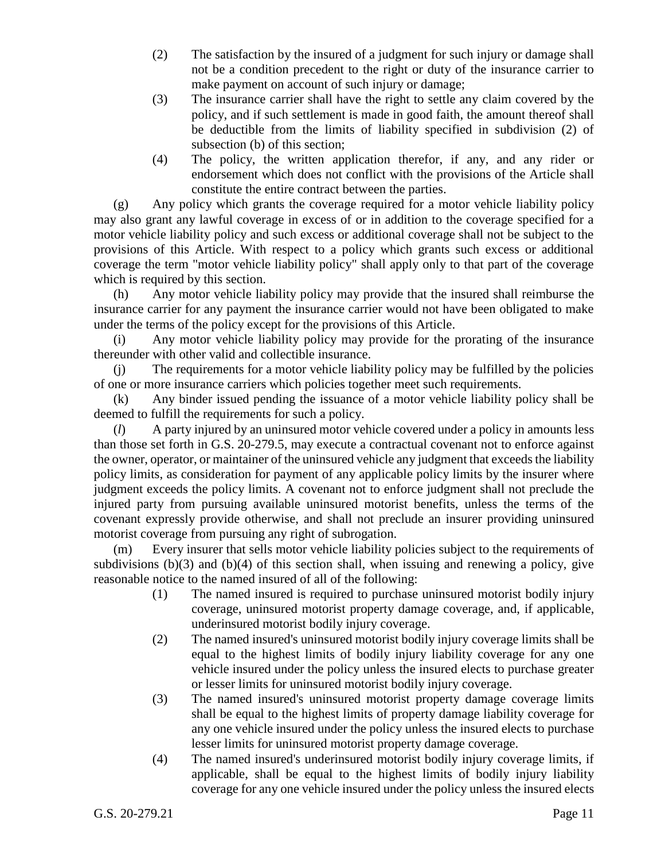- (2) The satisfaction by the insured of a judgment for such injury or damage shall not be a condition precedent to the right or duty of the insurance carrier to make payment on account of such injury or damage;
- (3) The insurance carrier shall have the right to settle any claim covered by the policy, and if such settlement is made in good faith, the amount thereof shall be deductible from the limits of liability specified in subdivision (2) of subsection (b) of this section;
- (4) The policy, the written application therefor, if any, and any rider or endorsement which does not conflict with the provisions of the Article shall constitute the entire contract between the parties.

(g) Any policy which grants the coverage required for a motor vehicle liability policy may also grant any lawful coverage in excess of or in addition to the coverage specified for a motor vehicle liability policy and such excess or additional coverage shall not be subject to the provisions of this Article. With respect to a policy which grants such excess or additional coverage the term "motor vehicle liability policy" shall apply only to that part of the coverage which is required by this section.

(h) Any motor vehicle liability policy may provide that the insured shall reimburse the insurance carrier for any payment the insurance carrier would not have been obligated to make under the terms of the policy except for the provisions of this Article.

(i) Any motor vehicle liability policy may provide for the prorating of the insurance thereunder with other valid and collectible insurance.

(j) The requirements for a motor vehicle liability policy may be fulfilled by the policies of one or more insurance carriers which policies together meet such requirements.

(k) Any binder issued pending the issuance of a motor vehicle liability policy shall be deemed to fulfill the requirements for such a policy.

(*l*) A party injured by an uninsured motor vehicle covered under a policy in amounts less than those set forth in G.S. 20-279.5, may execute a contractual covenant not to enforce against the owner, operator, or maintainer of the uninsured vehicle any judgment that exceeds the liability policy limits, as consideration for payment of any applicable policy limits by the insurer where judgment exceeds the policy limits. A covenant not to enforce judgment shall not preclude the injured party from pursuing available uninsured motorist benefits, unless the terms of the covenant expressly provide otherwise, and shall not preclude an insurer providing uninsured motorist coverage from pursuing any right of subrogation.

(m) Every insurer that sells motor vehicle liability policies subject to the requirements of subdivisions (b)(3) and (b)(4) of this section shall, when issuing and renewing a policy, give reasonable notice to the named insured of all of the following:

- (1) The named insured is required to purchase uninsured motorist bodily injury coverage, uninsured motorist property damage coverage, and, if applicable, underinsured motorist bodily injury coverage.
- (2) The named insured's uninsured motorist bodily injury coverage limits shall be equal to the highest limits of bodily injury liability coverage for any one vehicle insured under the policy unless the insured elects to purchase greater or lesser limits for uninsured motorist bodily injury coverage.
- (3) The named insured's uninsured motorist property damage coverage limits shall be equal to the highest limits of property damage liability coverage for any one vehicle insured under the policy unless the insured elects to purchase lesser limits for uninsured motorist property damage coverage.
- (4) The named insured's underinsured motorist bodily injury coverage limits, if applicable, shall be equal to the highest limits of bodily injury liability coverage for any one vehicle insured under the policy unless the insured elects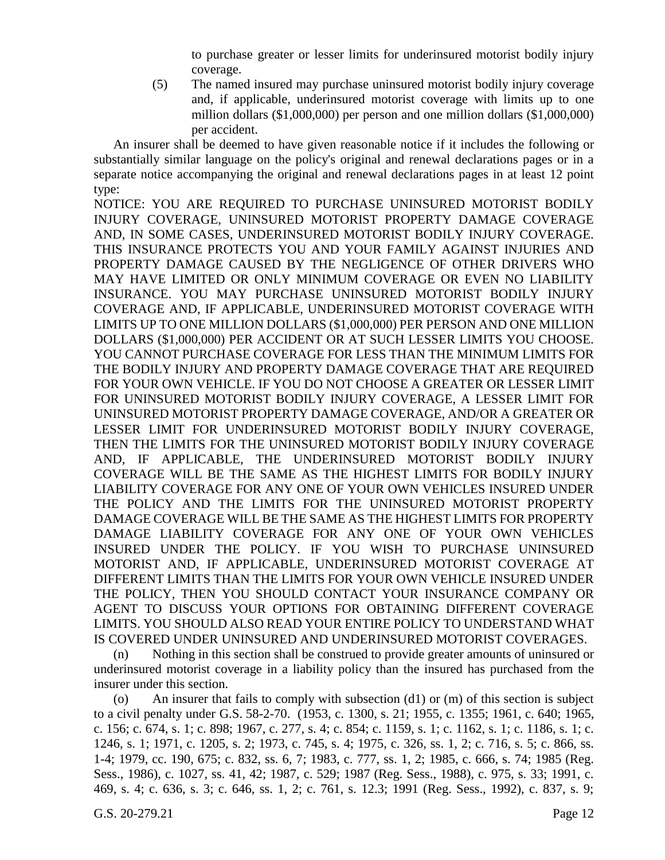to purchase greater or lesser limits for underinsured motorist bodily injury coverage.

(5) The named insured may purchase uninsured motorist bodily injury coverage and, if applicable, underinsured motorist coverage with limits up to one million dollars (\$1,000,000) per person and one million dollars (\$1,000,000) per accident.

An insurer shall be deemed to have given reasonable notice if it includes the following or substantially similar language on the policy's original and renewal declarations pages or in a separate notice accompanying the original and renewal declarations pages in at least 12 point type:

NOTICE: YOU ARE REQUIRED TO PURCHASE UNINSURED MOTORIST BODILY INJURY COVERAGE, UNINSURED MOTORIST PROPERTY DAMAGE COVERAGE AND, IN SOME CASES, UNDERINSURED MOTORIST BODILY INJURY COVERAGE. THIS INSURANCE PROTECTS YOU AND YOUR FAMILY AGAINST INJURIES AND PROPERTY DAMAGE CAUSED BY THE NEGLIGENCE OF OTHER DRIVERS WHO MAY HAVE LIMITED OR ONLY MINIMUM COVERAGE OR EVEN NO LIABILITY INSURANCE. YOU MAY PURCHASE UNINSURED MOTORIST BODILY INJURY COVERAGE AND, IF APPLICABLE, UNDERINSURED MOTORIST COVERAGE WITH LIMITS UP TO ONE MILLION DOLLARS (\$1,000,000) PER PERSON AND ONE MILLION DOLLARS (\$1,000,000) PER ACCIDENT OR AT SUCH LESSER LIMITS YOU CHOOSE. YOU CANNOT PURCHASE COVERAGE FOR LESS THAN THE MINIMUM LIMITS FOR THE BODILY INJURY AND PROPERTY DAMAGE COVERAGE THAT ARE REQUIRED FOR YOUR OWN VEHICLE. IF YOU DO NOT CHOOSE A GREATER OR LESSER LIMIT FOR UNINSURED MOTORIST BODILY INJURY COVERAGE, A LESSER LIMIT FOR UNINSURED MOTORIST PROPERTY DAMAGE COVERAGE, AND/OR A GREATER OR LESSER LIMIT FOR UNDERINSURED MOTORIST BODILY INJURY COVERAGE, THEN THE LIMITS FOR THE UNINSURED MOTORIST BODILY INJURY COVERAGE AND, IF APPLICABLE, THE UNDERINSURED MOTORIST BODILY INJURY COVERAGE WILL BE THE SAME AS THE HIGHEST LIMITS FOR BODILY INJURY LIABILITY COVERAGE FOR ANY ONE OF YOUR OWN VEHICLES INSURED UNDER THE POLICY AND THE LIMITS FOR THE UNINSURED MOTORIST PROPERTY DAMAGE COVERAGE WILL BE THE SAME AS THE HIGHEST LIMITS FOR PROPERTY DAMAGE LIABILITY COVERAGE FOR ANY ONE OF YOUR OWN VEHICLES INSURED UNDER THE POLICY. IF YOU WISH TO PURCHASE UNINSURED MOTORIST AND, IF APPLICABLE, UNDERINSURED MOTORIST COVERAGE AT DIFFERENT LIMITS THAN THE LIMITS FOR YOUR OWN VEHICLE INSURED UNDER THE POLICY, THEN YOU SHOULD CONTACT YOUR INSURANCE COMPANY OR AGENT TO DISCUSS YOUR OPTIONS FOR OBTAINING DIFFERENT COVERAGE LIMITS. YOU SHOULD ALSO READ YOUR ENTIRE POLICY TO UNDERSTAND WHAT IS COVERED UNDER UNINSURED AND UNDERINSURED MOTORIST COVERAGES.

(n) Nothing in this section shall be construed to provide greater amounts of uninsured or underinsured motorist coverage in a liability policy than the insured has purchased from the insurer under this section.

(o) An insurer that fails to comply with subsection (d1) or (m) of this section is subject to a civil penalty under G.S. 58-2-70. (1953, c. 1300, s. 21; 1955, c. 1355; 1961, c. 640; 1965, c. 156; c. 674, s. 1; c. 898; 1967, c. 277, s. 4; c. 854; c. 1159, s. 1; c. 1162, s. 1; c. 1186, s. 1; c. 1246, s. 1; 1971, c. 1205, s. 2; 1973, c. 745, s. 4; 1975, c. 326, ss. 1, 2; c. 716, s. 5; c. 866, ss. 1-4; 1979, cc. 190, 675; c. 832, ss. 6, 7; 1983, c. 777, ss. 1, 2; 1985, c. 666, s. 74; 1985 (Reg. Sess., 1986), c. 1027, ss. 41, 42; 1987, c. 529; 1987 (Reg. Sess., 1988), c. 975, s. 33; 1991, c. 469, s. 4; c. 636, s. 3; c. 646, ss. 1, 2; c. 761, s. 12.3; 1991 (Reg. Sess., 1992), c. 837, s. 9;

G.S. 20-279.21 Page 12